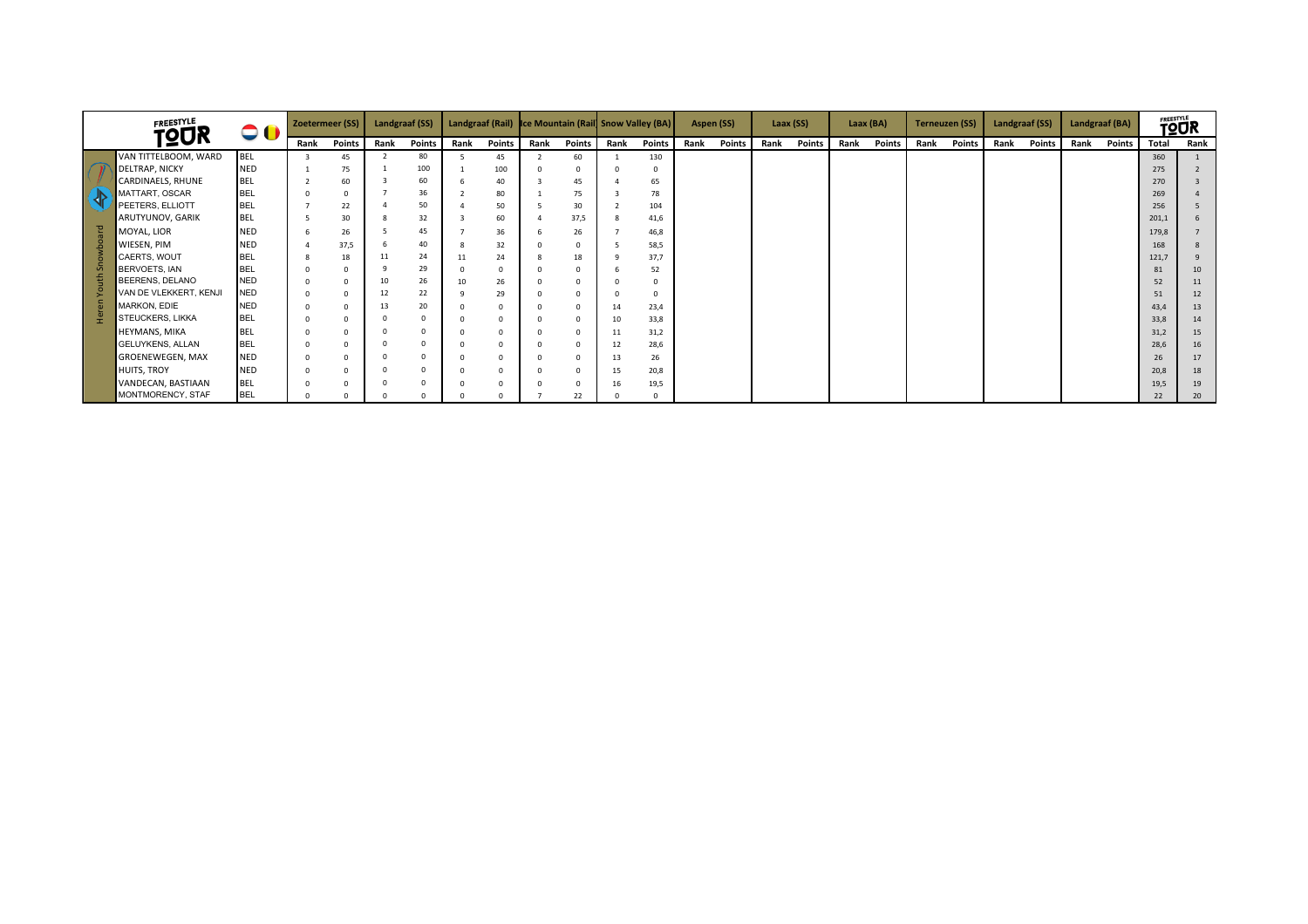|  | <b>FREESTYLE</b>         | $\bullet$ ( |          | Zoetermeer (SS) |      | <b>Landgraaf (SS)</b> |      |        |      |          |          | Landgraaf (Rail) Ice Mountain (Rail Snow Valley (BA) |      | Aspen (SS) |      | Laax (SS) |      | Laax (BA) |      | <b>Terneuzen (SS)</b> | Landgraaf (SS) |               | Landgraaf (BA) |        | <b>TOUR</b> |      |
|--|--------------------------|-------------|----------|-----------------|------|-----------------------|------|--------|------|----------|----------|------------------------------------------------------|------|------------|------|-----------|------|-----------|------|-----------------------|----------------|---------------|----------------|--------|-------------|------|
|  | <b>TQUR</b>              |             | Rank     | Points          | Rank | <b>Points</b>         | Rank | Points | Rank | Points   | Rank     | Points                                               | Rank | Points     | Rank | Points    | Rank | Points    | Rank | Points                | Rank           | <b>Points</b> | Rank           | Points | Total       | Rank |
|  | VAN TITTELBOOM, WARD     | <b>BEL</b>  |          | 45              |      | 80                    |      | 45     |      | 60       |          | 130                                                  |      |            |      |           |      |           |      |                       |                |               |                |        | 360         |      |
|  | <b>DELTRAP, NICKY</b>    | <b>NED</b>  |          | 75              |      | 100                   |      | 100    |      |          |          |                                                      |      |            |      |           |      |           |      |                       |                |               |                |        | 275         |      |
|  | <b>CARDINAELS, RHUNE</b> | <b>BEL</b>  |          | 60              |      | 60                    |      | 40     |      | 45       |          | 65                                                   |      |            |      |           |      |           |      |                       |                |               |                |        | 270         |      |
|  | MATTART, OSCAR           | <b>BEL</b>  | $\Omega$ | $\Omega$        |      | 36                    |      | 80     |      | 75       |          | 78                                                   |      |            |      |           |      |           |      |                       |                |               |                |        | 269         |      |
|  | PEETERS, ELLIOTT         | <b>BEL</b>  |          | 22              |      | 50                    |      | 50     |      | 30       |          | 104                                                  |      |            |      |           |      |           |      |                       |                |               |                |        | 256         |      |
|  | ARUTYUNOV, GARIK         | <b>BEL</b>  |          | 30              |      | 32                    |      | 60     |      | 37,5     | -8       | 41,6                                                 |      |            |      |           |      |           |      |                       |                |               |                |        | 201,1       |      |
|  | MOYAL, LIOR              | <b>NED</b>  |          | 26              |      | 45                    |      | 36     |      | 26       |          | 46,8                                                 |      |            |      |           |      |           |      |                       |                |               |                |        | 179,8       |      |
|  | WIESEN, PIM              | <b>NED</b>  |          | 37,5            |      | 40                    |      | 32     |      | $\Omega$ |          | 58,5                                                 |      |            |      |           |      |           |      |                       |                |               |                |        | 168         |      |
|  | CAERTS, WOUT             | <b>BEL</b>  |          | 18              |      | 24                    | 11   | 24     |      | 18       | $\Omega$ | 37,7                                                 |      |            |      |           |      |           |      |                       |                |               |                |        | 121,7       |      |
|  | BERVOETS, IAN            | <b>BEL</b>  | $\Omega$ | $\Omega$        |      | 29                    |      |        |      |          |          | 52                                                   |      |            |      |           |      |           |      |                       |                |               |                |        | 81          | 10   |
|  | BEERENS, DELANO          | <b>NED</b>  | $\Omega$ | $\Omega$        | 10   | 26                    | 10   | 26     |      |          |          |                                                      |      |            |      |           |      |           |      |                       |                |               |                |        | 52          | 11   |
|  | VAN DE VLEKKERT, KENJI   | <b>NED</b>  | $\Omega$ | $\Omega$        | 12   | 22                    |      | 29     |      |          |          |                                                      |      |            |      |           |      |           |      |                       |                |               |                |        | 51          | 12   |
|  | MARKON, EDIE             | <b>NED</b>  | $\Omega$ | $\Omega$        |      | 20                    |      |        |      |          | 14       | 23,4                                                 |      |            |      |           |      |           |      |                       |                |               |                |        | 43,4        | 13   |
|  | STEUCKERS, LIKKA         | <b>BEL</b>  | $\Omega$ | $\Omega$        |      | $\Omega$              |      |        |      | $\Omega$ | 10       | 33,8                                                 |      |            |      |           |      |           |      |                       |                |               |                |        | 33,8        | 14   |
|  | HEYMANS, MIKA            | <b>BEL</b>  | $\Omega$ | $\Omega$        |      | $\Omega$              |      |        |      |          | 11       | 31,2                                                 |      |            |      |           |      |           |      |                       |                |               |                |        | 31,2        | 15   |
|  | GELUYKENS, ALLAN         | <b>BEL</b>  | $\Omega$ | $\Omega$        |      |                       |      |        |      |          | 12       | 28,6                                                 |      |            |      |           |      |           |      |                       |                |               |                |        | 28,6        | 16   |
|  | GROENEWEGEN, MAX         | <b>NED</b>  | $\Omega$ | $\Omega$        |      |                       |      |        |      | $\Omega$ | 13       | 26                                                   |      |            |      |           |      |           |      |                       |                |               |                |        | 26          | 17   |
|  | <b>HUITS, TROY</b>       | <b>NED</b>  | $\Omega$ | $\Omega$        |      | $\Omega$              |      |        |      |          | 15       | 20,8                                                 |      |            |      |           |      |           |      |                       |                |               |                |        | 20,8        | 18   |
|  | VANDECAN, BASTIAAN       | <b>BEL</b>  | $\Omega$ | $\Omega$        |      |                       |      |        |      |          | 16       | 19,5                                                 |      |            |      |           |      |           |      |                       |                |               |                |        | 19,5        | 19   |
|  | MONTMORENCY, STAF        | <b>BEL</b>  |          |                 |      |                       |      |        |      | 22       |          |                                                      |      |            |      |           |      |           |      |                       |                |               |                |        | 22          | 20   |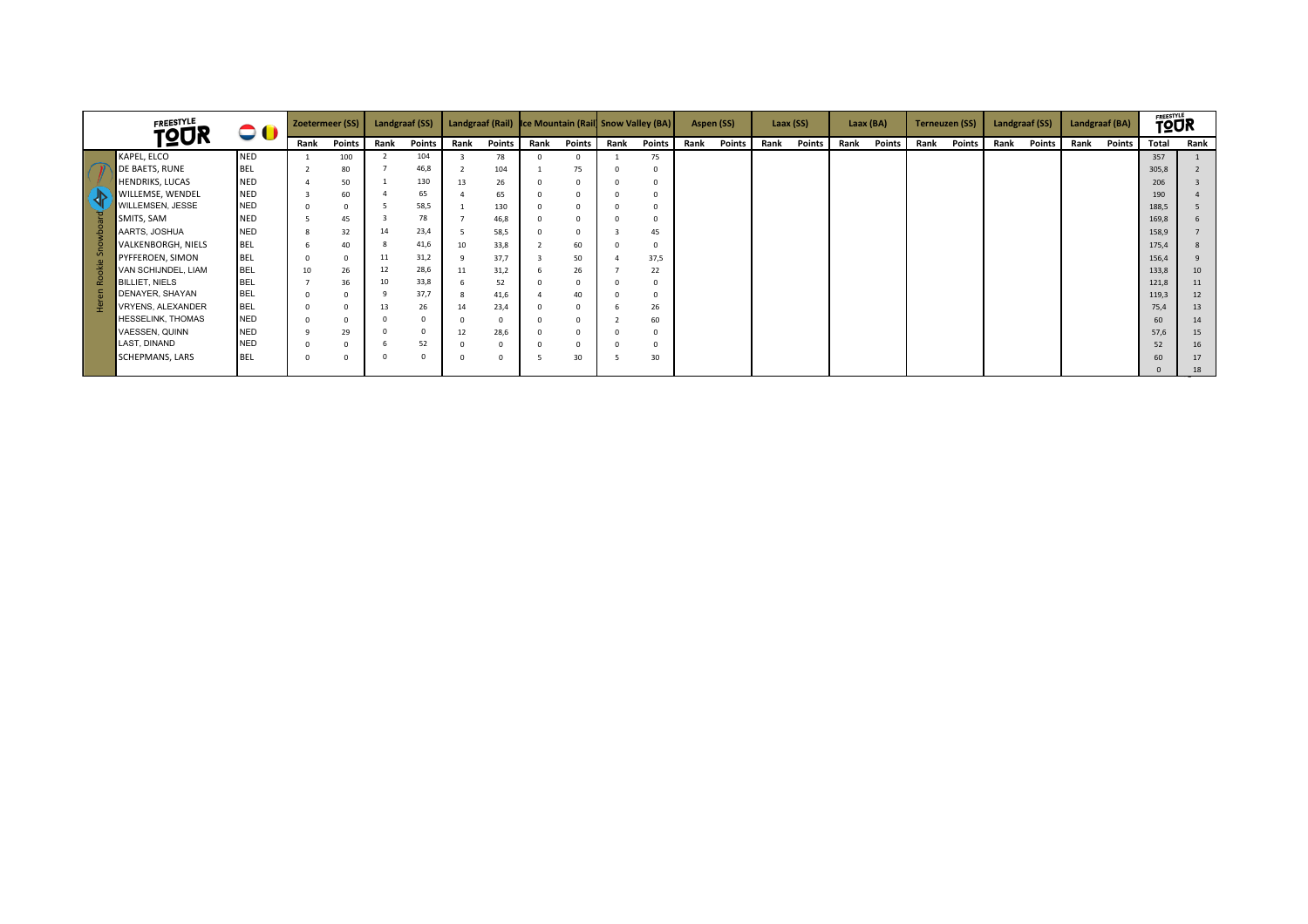| <b>FREESTYLE</b><br><b>TQUR</b><br>KAPEL, ELCO<br>DE BAETS, RUNE<br><b>HENDRIKS, LUCAS</b><br><b>WILLEMSE, WENDEL</b><br>WILLEMSEN, JESSE<br><b>SMITS, SAM</b><br>AARTS, JOSHUA<br>VALKENBORGH, NIELS<br>PYFFEROEN, SIMON<br>VAN SCHIJNDEL, LIAM<br><b>BILLIET, NIELS</b><br>DENAYER, SHAYAN<br>VRYENS, ALEXANDER<br><b>HESSELINK, THOMAS</b><br>VAESSEN, QUINN<br>LAST, DINAND | $\bullet$  |              | Zoetermeer (SS) |          | Landgraaf (SS) |      |               |      | Landgraaf (Rail) Ice Mountain (Rail Snow Valley (BA) |      |               |      | Aspen (SS)    |      | Laax (SS)     |      | Laax (BA) |      | <b>Terneuzen (SS)</b> | Landgraaf (SS) |        | Landgraaf (BA) |        | <b>TOUR</b> |          |
|---------------------------------------------------------------------------------------------------------------------------------------------------------------------------------------------------------------------------------------------------------------------------------------------------------------------------------------------------------------------------------|------------|--------------|-----------------|----------|----------------|------|---------------|------|------------------------------------------------------|------|---------------|------|---------------|------|---------------|------|-----------|------|-----------------------|----------------|--------|----------------|--------|-------------|----------|
|                                                                                                                                                                                                                                                                                                                                                                                 |            | Rank         | Points          | Rank     | <b>Points</b>  | Rank | <b>Points</b> | Rank | Points                                               | Rank | <b>Points</b> | Rank | <b>Points</b> | Rank | <b>Points</b> | Rank | Points    | Rank | Points                | Rank           | Points | Rank           | Points | Total       | Rank     |
|                                                                                                                                                                                                                                                                                                                                                                                 | <b>NED</b> |              | 100             |          | 104            |      | 78            |      | $\Omega$                                             |      | 75            |      |               |      |               |      |           |      |                       |                |        |                |        | 357         |          |
|                                                                                                                                                                                                                                                                                                                                                                                 | <b>BEL</b> |              | 80              |          | 46,8           |      | 104           |      | 75                                                   |      |               |      |               |      |               |      |           |      |                       |                |        |                |        | 305,8       |          |
|                                                                                                                                                                                                                                                                                                                                                                                 | <b>NED</b> |              | 50              |          | 130            | 13   | 26            |      |                                                      |      |               |      |               |      |               |      |           |      |                       |                |        |                |        | 206         |          |
|                                                                                                                                                                                                                                                                                                                                                                                 | <b>NED</b> |              | 60              |          | 65             |      | 65            |      |                                                      |      |               |      |               |      |               |      |           |      |                       |                |        |                |        | 190         |          |
|                                                                                                                                                                                                                                                                                                                                                                                 | <b>NED</b> | $\Omega$     | $\Omega$        |          | 58,5           |      | 130           |      |                                                      |      |               |      |               |      |               |      |           |      |                       |                |        |                |        | 188,5       |          |
|                                                                                                                                                                                                                                                                                                                                                                                 | <b>NED</b> |              | 45              |          | 78             |      | 46,8          |      |                                                      |      |               |      |               |      |               |      |           |      |                       |                |        |                |        | 169,8       |          |
|                                                                                                                                                                                                                                                                                                                                                                                 | <b>NED</b> | $\mathbf{g}$ | 32              | 14       | 23,4           |      | 58,5          |      |                                                      |      | 45            |      |               |      |               |      |           |      |                       |                |        |                |        | 158,9       |          |
|                                                                                                                                                                                                                                                                                                                                                                                 | <b>BEL</b> | 6            | 40              |          | 41,6           | 10   | 33,8          |      | 60                                                   |      |               |      |               |      |               |      |           |      |                       |                |        |                |        | 175,4       | 8        |
|                                                                                                                                                                                                                                                                                                                                                                                 | <b>BEL</b> | $\Omega$     | $\Omega$        | 11       | 31,2           |      | 37,7          |      | 50                                                   |      | 37,5          |      |               |      |               |      |           |      |                       |                |        |                |        | 156,4       | $\Omega$ |
|                                                                                                                                                                                                                                                                                                                                                                                 | <b>BEL</b> | 10           | 26              | 12       | 28,6           | 11   | 31,2          |      | 26                                                   |      | 22            |      |               |      |               |      |           |      |                       |                |        |                |        | 133,8       | 10       |
|                                                                                                                                                                                                                                                                                                                                                                                 | <b>BEL</b> |              | 36              | 10       | 33,8           |      | 52            |      | $\Omega$                                             |      |               |      |               |      |               |      |           |      |                       |                |        |                |        | 121,8       | 11       |
|                                                                                                                                                                                                                                                                                                                                                                                 | <b>BEL</b> |              |                 |          | 37,7           |      | 41,6          |      | 40                                                   |      |               |      |               |      |               |      |           |      |                       |                |        |                |        | 119,3       | 12       |
|                                                                                                                                                                                                                                                                                                                                                                                 | <b>BEL</b> |              | $\Omega$        | 13       | 26             | 14   | 23,4          |      |                                                      |      | 26            |      |               |      |               |      |           |      |                       |                |        |                |        | 75,4        | 13       |
|                                                                                                                                                                                                                                                                                                                                                                                 | <b>NED</b> |              |                 |          |                |      |               |      |                                                      |      | 60            |      |               |      |               |      |           |      |                       |                |        |                |        | 60          | 14       |
|                                                                                                                                                                                                                                                                                                                                                                                 | <b>NED</b> |              | 29              |          | $\mathbf 0$    | 12   | 28,6          |      |                                                      |      |               |      |               |      |               |      |           |      |                       |                |        |                |        | 57,6        | 15       |
|                                                                                                                                                                                                                                                                                                                                                                                 | <b>NED</b> |              |                 |          | 52             |      |               |      |                                                      |      |               |      |               |      |               |      |           |      |                       |                |        |                |        | 52          | 16       |
| SCHEPMANS, LARS                                                                                                                                                                                                                                                                                                                                                                 | <b>BEL</b> |              | $\Omega$        | $\Omega$ | $\mathbf 0$    |      | $\Omega$      |      | 30                                                   |      | 30            |      |               |      |               |      |           |      |                       |                |        |                |        | 60          | 17       |
|                                                                                                                                                                                                                                                                                                                                                                                 |            |              |                 |          |                |      |               |      |                                                      |      |               |      |               |      |               |      |           |      |                       |                |        |                |        |             | 18       |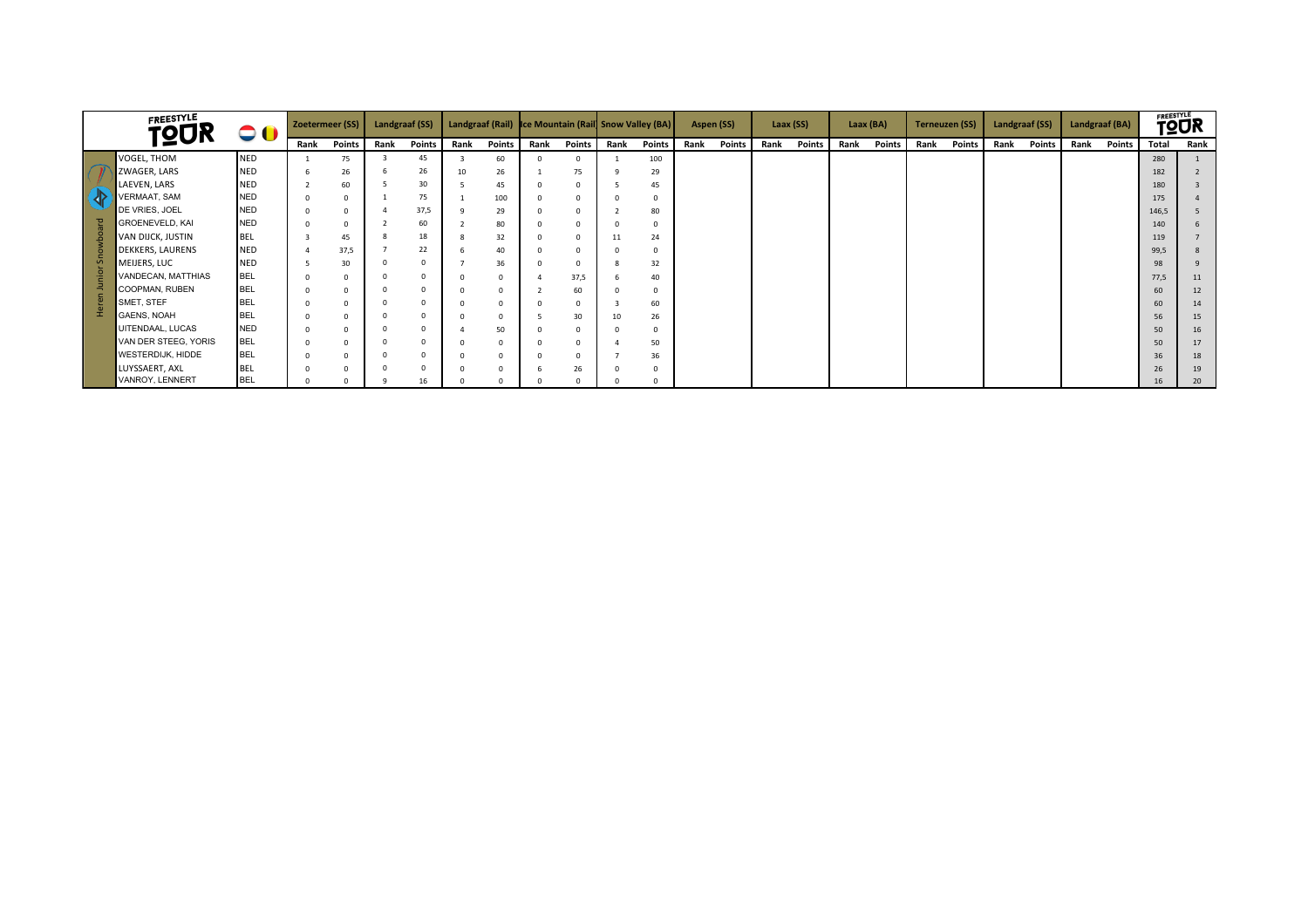|    | <b>FREESTYLE</b><br><b>TOUR</b> | 00         | Zoetermeer (SS) |               | <b>Landgraaf (SS)</b> |          |      |               | Landgraaf (Rail) Ice Mountain (Rail Snow Valley (BA) |               |              |               | Aspen (SS) |               | Laax (SS) |        | Laax (BA) |        | <b>Terneuzen (SS)</b> |        | Landgraaf (SS) |        | Landgraaf (BA) |               | <b>FREESTYLE</b><br><b>TQUR</b> |      |
|----|---------------------------------|------------|-----------------|---------------|-----------------------|----------|------|---------------|------------------------------------------------------|---------------|--------------|---------------|------------|---------------|-----------|--------|-----------|--------|-----------------------|--------|----------------|--------|----------------|---------------|---------------------------------|------|
|    |                                 |            | Rank            | <b>Points</b> | Rank                  | Points   | Rank | <b>Points</b> | Rank                                                 | <b>Points</b> | Rank         | <b>Points</b> | Rank       | <b>Points</b> | Rank      | Points | Rank      | Points | Rank                  | Points | Rank           | Points | Rank           | <b>Points</b> | Total                           | Rank |
|    | VOGEL, THOM                     | <b>NED</b> |                 | 75            |                       | 45       |      | 60            |                                                      |               |              | 100           |            |               |           |        |           |        |                       |        |                |        |                |               | 280                             |      |
|    | ZWAGER, LARS                    | <b>NED</b> | -6              | 26            |                       | 26       | 10   | 26            |                                                      | 75            | ۰Q           | 29            |            |               |           |        |           |        |                       |        |                |        |                |               | 182                             |      |
|    | LAEVEN, LARS                    | <b>NED</b> |                 | 60            |                       | 30       |      | 45            |                                                      |               |              | 45            |            |               |           |        |           |        |                       |        |                |        |                |               | 180                             |      |
| 32 | <b>VERMAAT, SAM</b>             | <b>NED</b> | $\Omega$        |               |                       | 75       |      | 100           |                                                      |               |              |               |            |               |           |        |           |        |                       |        |                |        |                |               | 175                             |      |
|    | DE VRIES, JOEL                  | <b>NED</b> | $\Omega$        | $\Omega$      |                       | 37,5     |      | 29            |                                                      |               |              | 80            |            |               |           |        |           |        |                       |        |                |        |                |               | 146,5                           |      |
|    | GROENEVELD, KAI                 | <b>NED</b> | $\Omega$        |               |                       | 60       |      | 80            |                                                      |               |              |               |            |               |           |        |           |        |                       |        |                |        |                |               | 140                             |      |
|    | VAN DIJCK, JUSTIN               | <b>BEL</b> |                 | 45            |                       | 18       |      | 32            |                                                      |               | 11           | 24            |            |               |           |        |           |        |                       |        |                |        |                |               | 119                             |      |
|    | <b>DEKKERS, LAURENS</b>         | <b>NED</b> |                 | 37,5          |                       | 22       |      | 40            |                                                      |               |              |               |            |               |           |        |           |        |                       |        |                |        |                |               | 99,5                            |      |
|    | MEIJERS, LUC                    | <b>NED</b> |                 | 30            |                       | $\Omega$ |      | 36            |                                                      |               | $\mathbf{8}$ | 32            |            |               |           |        |           |        |                       |        |                |        |                |               | 98                              |      |
|    | VANDECAN, MATTHIAS              | <b>BEL</b> | $\Omega$        | $\Omega$      |                       |          |      |               |                                                      | 37,5          |              | 40            |            |               |           |        |           |        |                       |        |                |        |                |               | 77,5                            | 11   |
|    | COOPMAN, RUBEN                  | <b>BEL</b> | $\Omega$        |               |                       |          |      |               |                                                      | 60            |              | $\Omega$      |            |               |           |        |           |        |                       |        |                |        |                |               | 60                              | 12   |
|    | SMET, STEF                      | <b>BEL</b> | $\Omega$        |               |                       |          |      |               |                                                      |               |              | 60            |            |               |           |        |           |        |                       |        |                |        |                |               | 60                              | 14   |
|    | GAENS, NOAH                     | <b>BEL</b> | $\Omega$        | $\Omega$      |                       |          |      |               |                                                      | 30            | 10           | 26            |            |               |           |        |           |        |                       |        |                |        |                |               | 56                              | 15   |
|    | UITENDAAL, LUCAS                | <b>NED</b> | $\Omega$        |               |                       |          |      | 50            |                                                      |               | $\Omega$     | $\Omega$      |            |               |           |        |           |        |                       |        |                |        |                |               | 50                              | 16   |
|    | VAN DER STEEG, YORIS            | <b>BEL</b> | $\Omega$        |               |                       |          |      |               |                                                      |               |              | 50            |            |               |           |        |           |        |                       |        |                |        |                |               | 50                              | 17   |
|    | WESTERDIJK, HIDDE               | <b>BEL</b> | $\Omega$        |               |                       |          |      |               |                                                      |               |              | 36            |            |               |           |        |           |        |                       |        |                |        |                |               | 36                              | 18   |
|    | LUYSSAERT, AXL                  | <b>BEL</b> |                 |               |                       |          |      |               |                                                      | 26            |              |               |            |               |           |        |           |        |                       |        |                |        |                |               | 26                              | 19   |
|    | VANROY, LENNERT                 | <b>BEL</b> |                 |               |                       | 16       |      |               |                                                      |               |              |               |            |               |           |        |           |        |                       |        |                |        |                |               | 16                              | 20   |